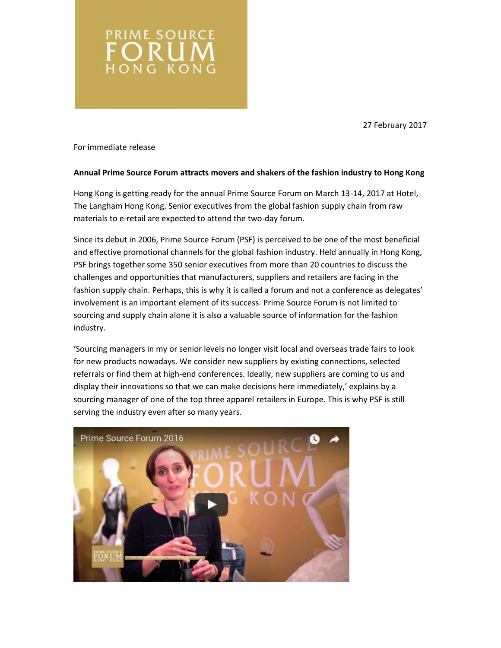27 February 2017

For immediate release

PRIME SOURCE ) R LI

ONG KON

### **Annual Prime Source Forum attracts movers and shakers of the fashion industry to Hong Kong**

Hong Kong is getting ready for the annual Prime Source Forum on March 13-14, 2017 at Hotel, The Langham Hong Kong. Senior executives from the global fashion supply chain from raw materials to e-retail are expected to attend the two-day forum.

Since its debut in 2006, Prime Source Forum (PSF) is perceived to be one of the most beneficial and effective promotional channels for the global fashion industry. Held annually in Hong Kong, PSF brings together some 350 senior executives from more than 20 countries to discuss the challenges and opportunities that manufacturers, suppliers and retailers are facing in the fashion supply chain. Perhaps, this is why it is called a forum and not a conference as delegates' involvement is an important element of its success. Prime Source Forum is not limited to sourcing and supply chain alone it is also a valuable source of information for the fashion industry.

'Sourcing managers in my or senior levels no longer visit local and overseas trade fairs to look for new products nowadays. We consider new suppliers by existing connections, selected referrals or find them at high-end conferences. Ideally, new suppliers are coming to us and display their innovations so that we can make decisions here immediately,' explains by a sourcing manager of one of the top three apparel retailers in Europe. This is why PSF is still serving the industry even after so many years.

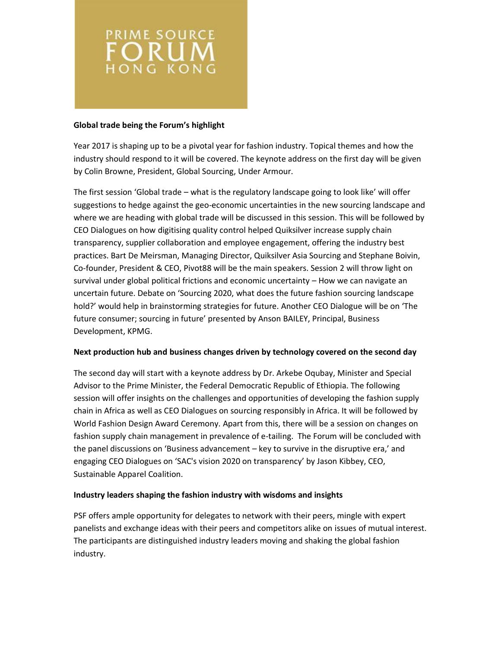

### **Global trade being the Forum's highlight**

Year 2017 is shaping up to be a pivotal year for fashion industry. Topical themes and how the industry should respond to it will be covered. The keynote address on the first day will be given by Colin Browne, President, Global Sourcing, Under Armour.

The first session 'Global trade – what is the regulatory landscape going to look like' will offer suggestions to hedge against the geo-economic uncertainties in the new sourcing landscape and where we are heading with global trade will be discussed in this session. This will be followed by CEO Dialogues on how digitising quality control helped Quiksilver increase supply chain transparency, supplier collaboration and employee engagement, offering the industry best practices. Bart De Meirsman, Managing Director, Quiksilver Asia Sourcing and Stephane Boivin, Co-founder, President & CEO, Pivot88 will be the main speakers. Session 2 will throw light on survival under global political frictions and economic uncertainty – How we can navigate an uncertain future. Debate on 'Sourcing 2020, what does the future fashion sourcing landscape hold?' would help in brainstorming strategies for future. Another CEO Dialogue will be on 'The future consumer; sourcing in future' presented by Anson BAILEY, Principal, Business Development, KPMG.

# **Next production hub and business changes driven by technology covered on the second day**

The second day will start with a keynote address by Dr. Arkebe Oqubay, Minister and Special Advisor to the Prime Minister, the Federal Democratic Republic of Ethiopia. The following session will offer insights on the challenges and opportunities of developing the fashion supply chain in Africa as well as CEO Dialogues on sourcing responsibly in Africa. It will be followed by World Fashion Design Award Ceremony. Apart from this, there will be a session on changes on fashion supply chain management in prevalence of e-tailing. The Forum will be concluded with the panel discussions on 'Business advancement – key to survive in the disruptive era,' and engaging CEO Dialogues on 'SAC's vision 2020 on transparency' by Jason Kibbey, CEO, Sustainable Apparel Coalition.

# **Industry leaders shaping the fashion industry with wisdoms and insights**

PSF offers ample opportunity for delegates to network with their peers, mingle with expert panelists and exchange ideas with their peers and competitors alike on issues of mutual interest. The participants are distinguished industry leaders moving and shaking the global fashion industry.